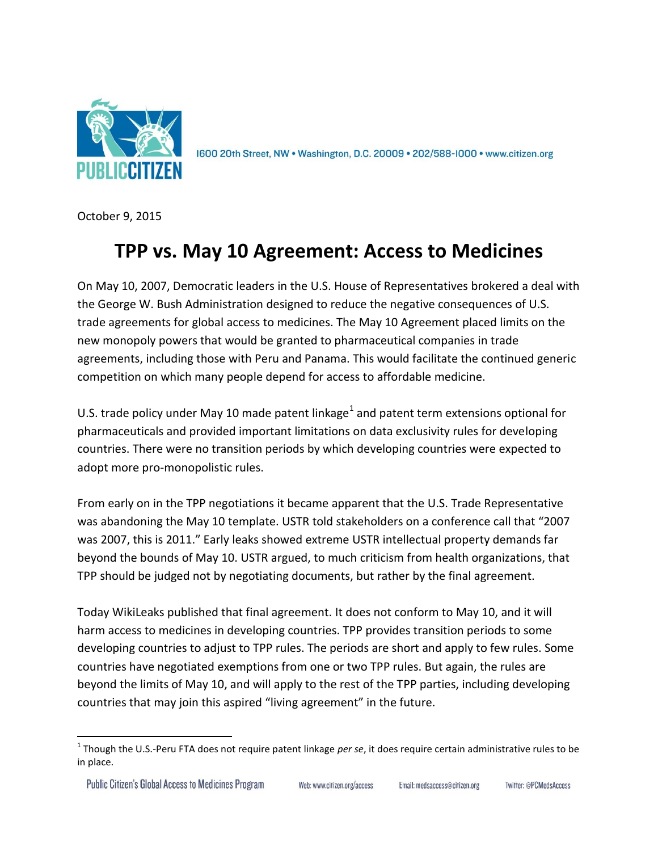

1600 20th Street, NW . Washington, D.C. 20009 . 202/588-1000 . www.citizen.org

October 9, 2015

## **TPP vs. May 10 Agreement: Access to Medicines**

On May 10, 2007, Democratic leaders in the U.S. House of Representatives brokered a deal with the George W. Bush Administration designed to reduce the negative consequences of U.S. trade agreements for global access to medicines. The May 10 Agreement placed limits on the new monopoly powers that would be granted to pharmaceutical companies in trade agreements, including those with Peru and Panama. This would facilitate the continued generic competition on which many people depend for access to affordable medicine.

U.S. trade policy under May 10 made patent linkage<sup>1</sup> and patent term extensions optional for pharmaceuticals and provided important limitations on data exclusivity rules for developing countries. There were no transition periods by which developing countries were expected to adopt more pro-monopolistic rules.

From early on in the TPP negotiations it became apparent that the U.S. Trade Representative was abandoning the May 10 template. USTR told stakeholders on a conference call that "2007 was 2007, this is 2011." Early leaks showed extreme USTR intellectual property demands far beyond the bounds of May 10. USTR argued, to much criticism from health organizations, that TPP should be judged not by negotiating documents, but rather by the final agreement.

Today WikiLeaks published that final agreement. It does not conform to May 10, and it will harm access to medicines in developing countries. TPP provides transition periods to some developing countries to adjust to TPP rules. The periods are short and apply to few rules. Some countries have negotiated exemptions from one or two TPP rules. But again, the rules are beyond the limits of May 10, and will apply to the rest of the TPP parties, including developing countries that may join this aspired "living agreement" in the future.

 $\overline{\phantom{a}}$ 

<sup>&</sup>lt;sup>1</sup> Though the U.S.-Peru FTA does not require patent linkage *per se*, it does require certain administrative rules to be in place.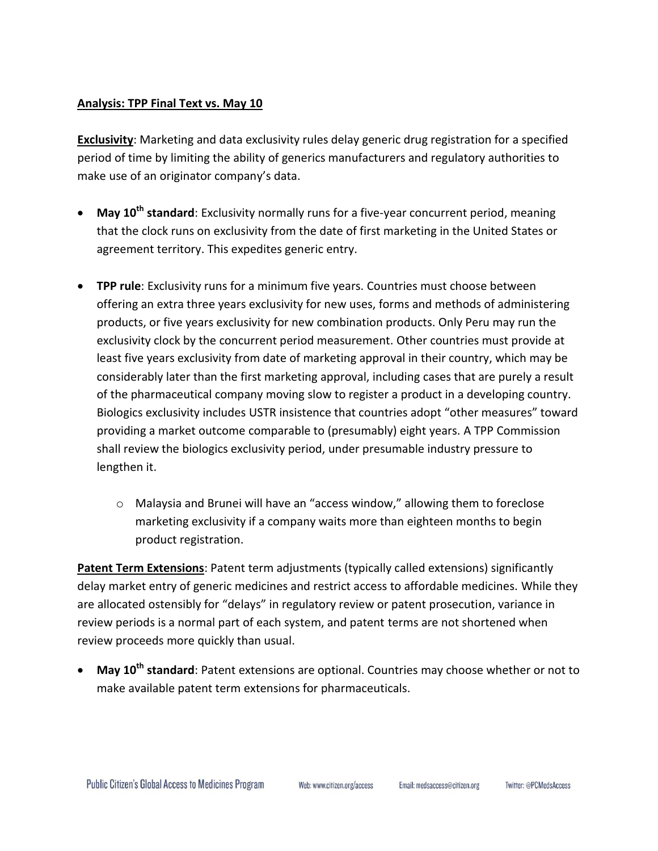## **Analysis: TPP Final Text vs. May 10**

**Exclusivity**: Marketing and data exclusivity rules delay generic drug registration for a specified period of time by limiting the ability of generics manufacturers and regulatory authorities to make use of an originator company's data.

- **May 10th standard**: Exclusivity normally runs for a five-year concurrent period, meaning that the clock runs on exclusivity from the date of first marketing in the United States or agreement territory. This expedites generic entry.
- **TPP rule**: Exclusivity runs for a minimum five years. Countries must choose between offering an extra three years exclusivity for new uses, forms and methods of administering products, or five years exclusivity for new combination products. Only Peru may run the exclusivity clock by the concurrent period measurement. Other countries must provide at least five years exclusivity from date of marketing approval in their country, which may be considerably later than the first marketing approval, including cases that are purely a result of the pharmaceutical company moving slow to register a product in a developing country. Biologics exclusivity includes USTR insistence that countries adopt "other measures" toward providing a market outcome comparable to (presumably) eight years. A TPP Commission shall review the biologics exclusivity period, under presumable industry pressure to lengthen it.
	- o Malaysia and Brunei will have an "access window," allowing them to foreclose marketing exclusivity if a company waits more than eighteen months to begin product registration.

**Patent Term Extensions**: Patent term adjustments (typically called extensions) significantly delay market entry of generic medicines and restrict access to affordable medicines. While they are allocated ostensibly for "delays" in regulatory review or patent prosecution, variance in review periods is a normal part of each system, and patent terms are not shortened when review proceeds more quickly than usual.

 **May 10th standard**: Patent extensions are optional. Countries may choose whether or not to make available patent term extensions for pharmaceuticals.